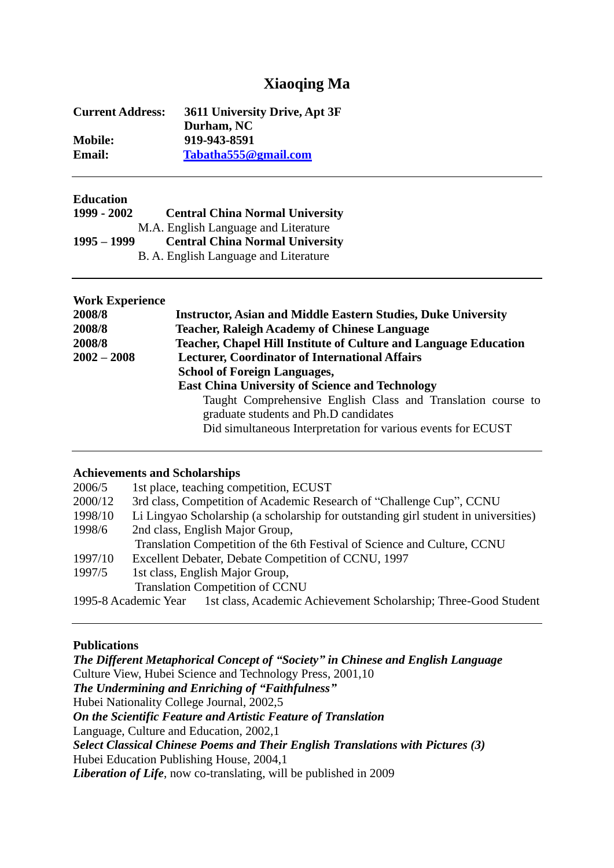# **Xiaoqing Ma**

| 3611 University Drive, Apt 3F |
|-------------------------------|
| Durham, NC                    |
| 919-943-8591                  |
| Tabatha555@gmail.com          |
|                               |

### **Education**

| 1999 - 2002   | <b>Central China Normal University</b> |
|---------------|----------------------------------------|
|               | M.A. English Language and Literature   |
|               |                                        |
| $1995 - 1999$ | <b>Central China Normal University</b> |

| <b>Work Experience</b> |                                                                                                                                                                       |
|------------------------|-----------------------------------------------------------------------------------------------------------------------------------------------------------------------|
| 2008/8                 | <b>Instructor, Asian and Middle Eastern Studies, Duke University</b>                                                                                                  |
| 2008/8                 | <b>Teacher, Raleigh Academy of Chinese Language</b>                                                                                                                   |
| 2008/8                 | Teacher, Chapel Hill Institute of Culture and Language Education                                                                                                      |
| $2002 - 2008$          | <b>Lecturer, Coordinator of International Affairs</b>                                                                                                                 |
|                        | <b>School of Foreign Languages,</b>                                                                                                                                   |
|                        | <b>East China University of Science and Technology</b>                                                                                                                |
|                        | Taught Comprehensive English Class and Translation course to<br>graduate students and Ph.D candidates<br>Did simultaneous Interpretation for various events for ECUST |

### **Achievements and Scholarships**

| 2006/5  | 1st place, teaching competition, ECUST                                                  |
|---------|-----------------------------------------------------------------------------------------|
| 2000/12 | 3rd class, Competition of Academic Research of "Challenge Cup", CCNU                    |
| 1998/10 | Li Lingyao Scholarship (a scholarship for outstanding girl student in universities)     |
| 1998/6  | 2nd class, English Major Group,                                                         |
|         | Translation Competition of the 6th Festival of Science and Culture, CCNU                |
| 1997/10 | Excellent Debater, Debate Competition of CCNU, 1997                                     |
| 1997/5  | 1st class, English Major Group,                                                         |
|         | <b>Translation Competition of CCNU</b>                                                  |
|         | 1st class, Academic Achievement Scholarship; Three-Good Student<br>1995-8 Academic Year |

#### **Publications**

*The Different Metaphorical Concept of "Society" in Chinese and English Language* Culture View, Hubei Science and Technology Press, 2001,10 *The Undermining and Enriching of "Faithfulness"* Hubei Nationality College Journal, 2002,5 *On the Scientific Feature and Artistic Feature of Translation* Language, Culture and Education, 2002,1 *Select Classical Chinese Poems and Their English Translations with Pictures (3)* Hubei Education Publishing House, 2004,1 *Liberation of Life*, now co-translating, will be published in 2009